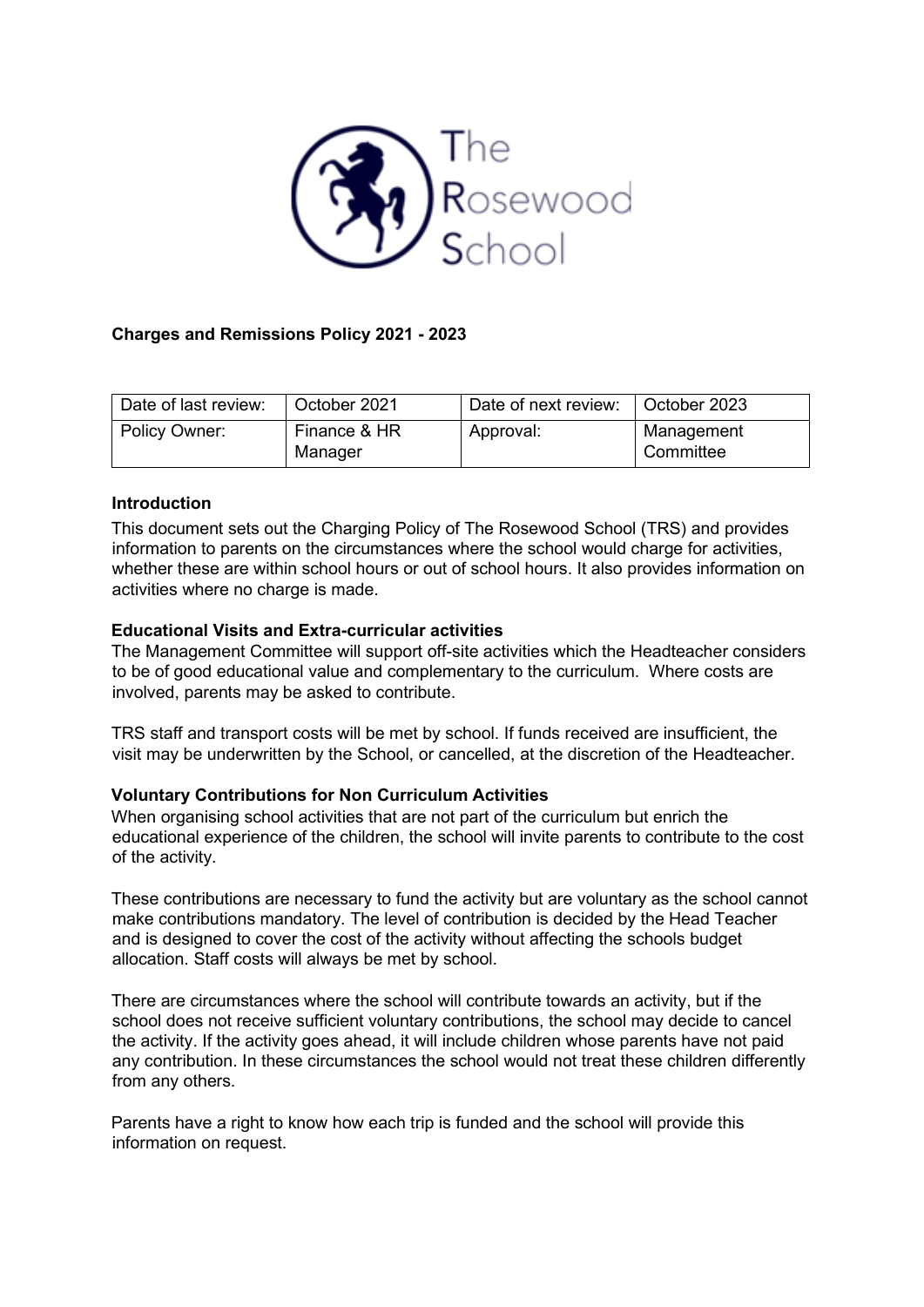

# **Charges and Remissions Policy 2021 - 2023**

| Date of last review: | October 2021            | Date of next review: | October 2023            |
|----------------------|-------------------------|----------------------|-------------------------|
| Policy Owner:        | Finance & HR<br>Manager | Approval:            | Management<br>Committee |

## **Introduction**

This document sets out the Charging Policy of The Rosewood School (TRS) and provides information to parents on the circumstances where the school would charge for activities, whether these are within school hours or out of school hours. It also provides information on activities where no charge is made.

## **Educational Visits and Extra-curricular activities**

The Management Committee will support off-site activities which the Headteacher considers to be of good educational value and complementary to the curriculum. Where costs are involved, parents may be asked to contribute.

TRS staff and transport costs will be met by school. If funds received are insufficient, the visit may be underwritten by the School, or cancelled, at the discretion of the Headteacher.

## **Voluntary Contributions for Non Curriculum Activities**

When organising school activities that are not part of the curriculum but enrich the educational experience of the children, the school will invite parents to contribute to the cost of the activity.

These contributions are necessary to fund the activity but are voluntary as the school cannot make contributions mandatory. The level of contribution is decided by the Head Teacher and is designed to cover the cost of the activity without affecting the schools budget allocation. Staff costs will always be met by school.

There are circumstances where the school will contribute towards an activity, but if the school does not receive sufficient voluntary contributions, the school may decide to cancel the activity. If the activity goes ahead, it will include children whose parents have not paid any contribution. In these circumstances the school would not treat these children differently from any others.

Parents have a right to know how each trip is funded and the school will provide this information on request.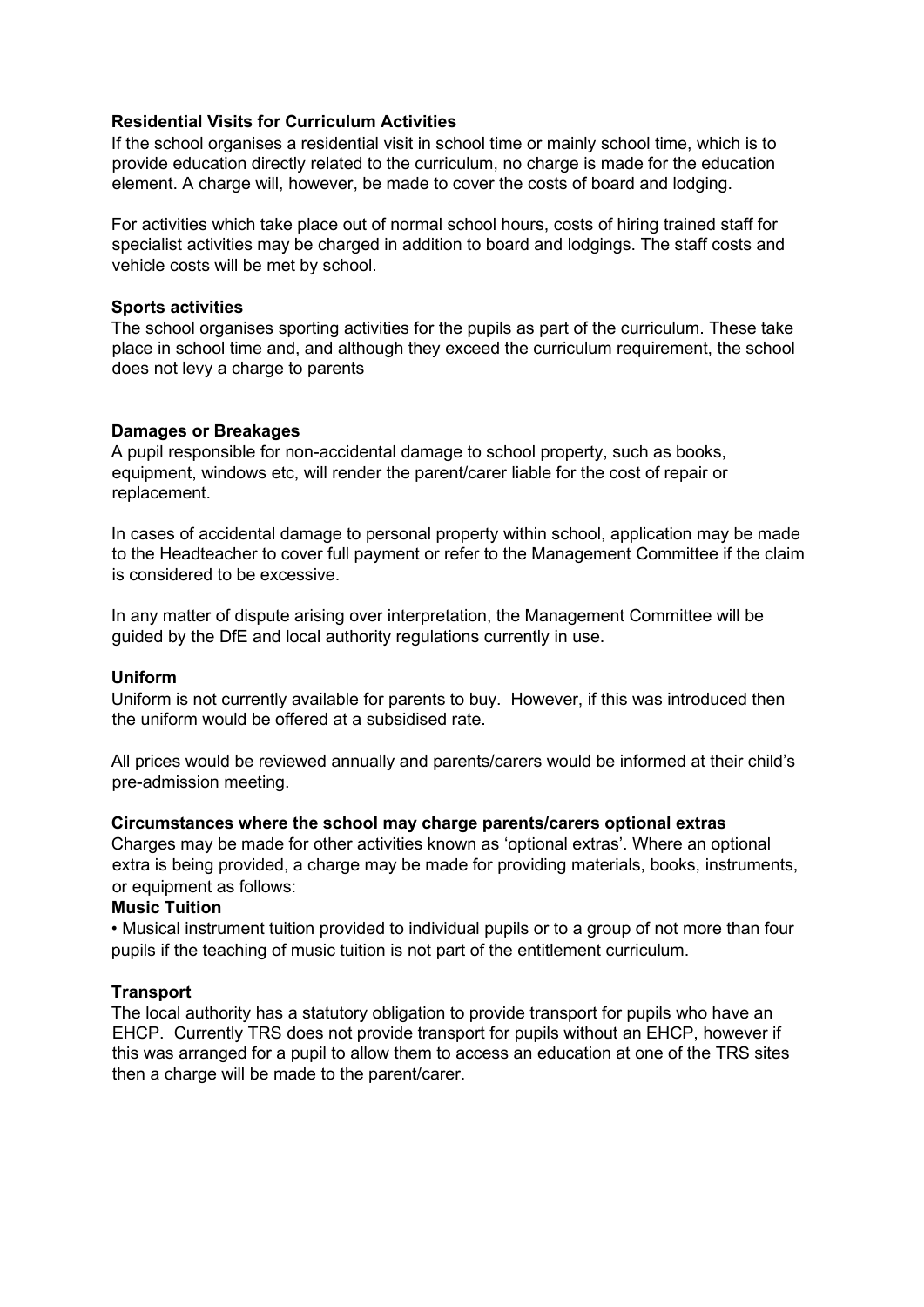## **Residential Visits for Curriculum Activities**

If the school organises a residential visit in school time or mainly school time, which is to provide education directly related to the curriculum, no charge is made for the education element. A charge will, however, be made to cover the costs of board and lodging.

For activities which take place out of normal school hours, costs of hiring trained staff for specialist activities may be charged in addition to board and lodgings. The staff costs and vehicle costs will be met by school.

## **Sports activities**

The school organises sporting activities for the pupils as part of the curriculum. These take place in school time and, and although they exceed the curriculum requirement, the school does not levy a charge to parents

## **Damages or Breakages**

A pupil responsible for non-accidental damage to school property, such as books, equipment, windows etc, will render the parent/carer liable for the cost of repair or replacement.

In cases of accidental damage to personal property within school, application may be made to the Headteacher to cover full payment or refer to the Management Committee if the claim is considered to be excessive.

In any matter of dispute arising over interpretation, the Management Committee will be guided by the DfE and local authority regulations currently in use.

#### **Uniform**

Uniform is not currently available for parents to buy. However, if this was introduced then the uniform would be offered at a subsidised rate.

All prices would be reviewed annually and parents/carers would be informed at their child's pre-admission meeting.

#### **Circumstances where the school may charge parents/carers optional extras**

Charges may be made for other activities known as 'optional extras'. Where an optional extra is being provided, a charge may be made for providing materials, books, instruments, or equipment as follows:

## **Music Tuition**

• Musical instrument tuition provided to individual pupils or to a group of not more than four pupils if the teaching of music tuition is not part of the entitlement curriculum.

## **Transport**

The local authority has a statutory obligation to provide transport for pupils who have an EHCP. Currently TRS does not provide transport for pupils without an EHCP, however if this was arranged for a pupil to allow them to access an education at one of the TRS sites then a charge will be made to the parent/carer.